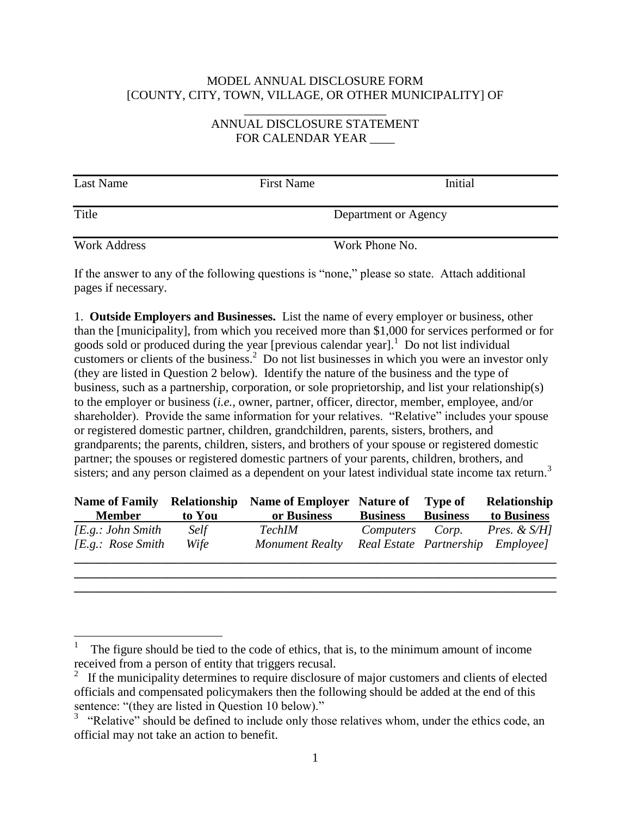## MODEL ANNUAL DISCLOSURE FORM [COUNTY, CITY, TOWN, VILLAGE, OR OTHER MUNICIPALITY] OF

\_\_\_\_\_\_\_\_\_\_\_\_\_\_\_\_\_\_\_\_\_\_\_

## ANNUAL DISCLOSURE STATEMENT FOR CALENDAR YEAR \_\_\_\_

| Last Name           | <b>First Name</b> | Initial              |
|---------------------|-------------------|----------------------|
| Title               |                   | Department or Agency |
| <b>Work Address</b> |                   | Work Phone No.       |

If the answer to any of the following questions is "none," please so state. Attach additional pages if necessary.

1. **Outside Employers and Businesses.** List the name of every employer or business, other than the [municipality], from which you received more than \$1,000 for services performed or for goods sold or produced during the year [previous calendar year]. $\frac{1}{1}$  Do not list individual customers or clients of the business.<sup>2</sup> Do not list businesses in which you were an investor only (they are listed in Question 2 below). Identify the nature of the business and the type of business, such as a partnership, corporation, or sole proprietorship, and list your relationship(s) to the employer or business (*i.e.*, owner, partner, officer, director, member, employee, and/or shareholder). Provide the same information for your relatives. "Relative" includes your spouse or registered domestic partner, children, grandchildren, parents, sisters, brothers, and grandparents; the parents, children, sisters, and brothers of your spouse or registered domestic partner; the spouses or registered domestic partners of your parents, children, brothers, and sisters; and any person claimed as a dependent on your latest individual state income tax return.<sup>3</sup>

| <b>Name of Family</b> |             | <b>Relationship</b> Name of Employer Nature of |                                   | <b>Type of</b>  | <b>Relationship</b>     |
|-----------------------|-------------|------------------------------------------------|-----------------------------------|-----------------|-------------------------|
| <b>Member</b>         | to You      | or Business                                    | <b>Business</b>                   | <b>Business</b> | to Business             |
| [E.g.: John Smith     | <i>Self</i> | TechIM                                         | Computers Corp.                   |                 | <i>Pres. &amp; S/H]</i> |
| $/E.g.:$ Rose Smith   | Wife        | Monument Realty                                | Real Estate Partnership Employee] |                 |                         |
|                       |             |                                                |                                   |                 |                         |

**\_\_\_\_\_\_\_\_\_\_\_\_\_\_\_\_\_\_\_\_\_\_\_\_\_\_\_\_\_\_\_\_\_\_\_\_\_\_\_\_\_\_\_\_\_\_\_\_\_\_\_\_\_\_\_\_\_\_\_\_\_\_\_\_\_\_\_\_\_\_\_\_\_\_\_\_\_\_**

 $\overline{a}$ 

<sup>1</sup> The figure should be tied to the code of ethics, that is, to the minimum amount of income received from a person of entity that triggers recusal.

<sup>&</sup>lt;sup>2</sup> If the municipality determines to require disclosure of major customers and clients of elected officials and compensated policymakers then the following should be added at the end of this sentence: "(they are listed in Question 10 below)."

<sup>&</sup>lt;sup>3</sup> "Relative" should be defined to include only those relatives whom, under the ethics code, an official may not take an action to benefit.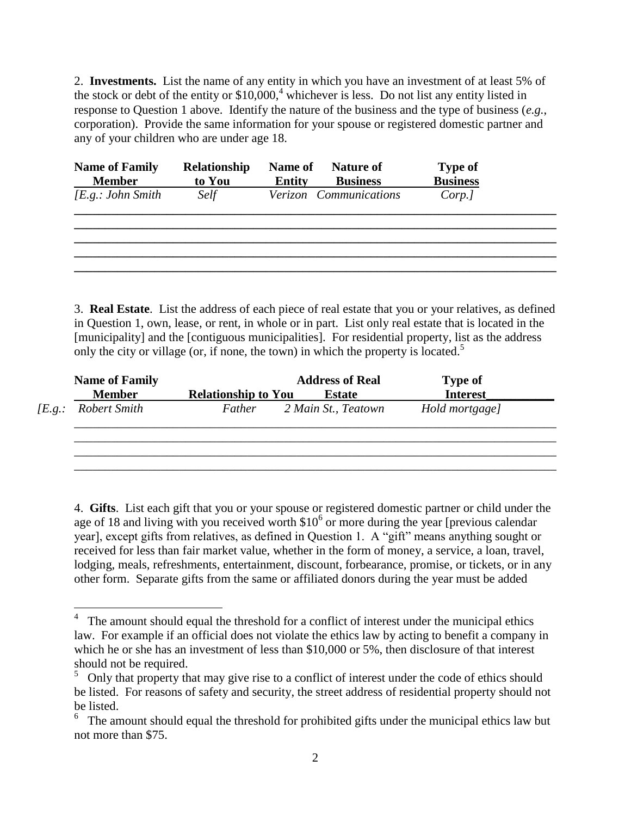2. **Investments.** List the name of any entity in which you have an investment of at least 5% of the stock or debt of the entity or  $$10,000$ <sup>4</sup>, whichever is less. Do not list any entity listed in response to Question 1 above. Identify the nature of the business and the type of business (*e.g.*, corporation). Provide the same information for your spouse or registered domestic partner and any of your children who are under age 18.

| <b>Name of Family</b><br><b>Member</b> | Relationship<br>to You | <b>Name of</b><br><b>Entity</b> | <b>Nature of</b><br><b>Business</b> | <b>Type of</b><br><b>Business</b> |  |
|----------------------------------------|------------------------|---------------------------------|-------------------------------------|-----------------------------------|--|
| [E.g.: John Smith                      | Self                   |                                 | Verizon Communications              | Corp.]                            |  |
|                                        |                        |                                 |                                     |                                   |  |
|                                        |                        |                                 |                                     |                                   |  |

3. **Real Estate**. List the address of each piece of real estate that you or your relatives, as defined in Question 1, own, lease, or rent, in whole or in part. List only real estate that is located in the [municipality] and the [contiguous municipalities]. For residential property, list as the address only the city or village (or, if none, the town) in which the property is located.<sup>5</sup>

|                 | <b>Name of Family</b> |                            | <b>Address of Real</b> | <b>Type of</b>  |  |
|-----------------|-----------------------|----------------------------|------------------------|-----------------|--|
|                 | <b>Member</b>         | <b>Relationship to You</b> | <b>Estate</b>          | <b>Interest</b> |  |
| [ <i>E.g.</i> : | Robert Smith          | Father                     | 2 Main St., Teatown    | Hold mortgage]  |  |
|                 |                       |                            |                        |                 |  |
|                 |                       |                            |                        |                 |  |
|                 |                       |                            |                        |                 |  |

4. **Gifts**. List each gift that you or your spouse or registered domestic partner or child under the age of 18 and living with you received worth  $$10<sup>6</sup>$  or more during the year [previous calendar year], except gifts from relatives, as defined in Question 1. A "gift" means anything sought or received for less than fair market value, whether in the form of money, a service, a loan, travel, lodging, meals, refreshments, entertainment, discount, forbearance, promise, or tickets, or in any other form. Separate gifts from the same or affiliated donors during the year must be added

<sup>&</sup>lt;sup>4</sup> The amount should equal the threshold for a conflict of interest under the municipal ethics law. For example if an official does not violate the ethics law by acting to benefit a company in which he or she has an investment of less than \$10,000 or 5%, then disclosure of that interest should not be required.

<sup>5</sup> Only that property that may give rise to a conflict of interest under the code of ethics should be listed. For reasons of safety and security, the street address of residential property should not be listed.

 $6\text{ }$  The amount should equal the threshold for prohibited gifts under the municipal ethics law but not more than \$75.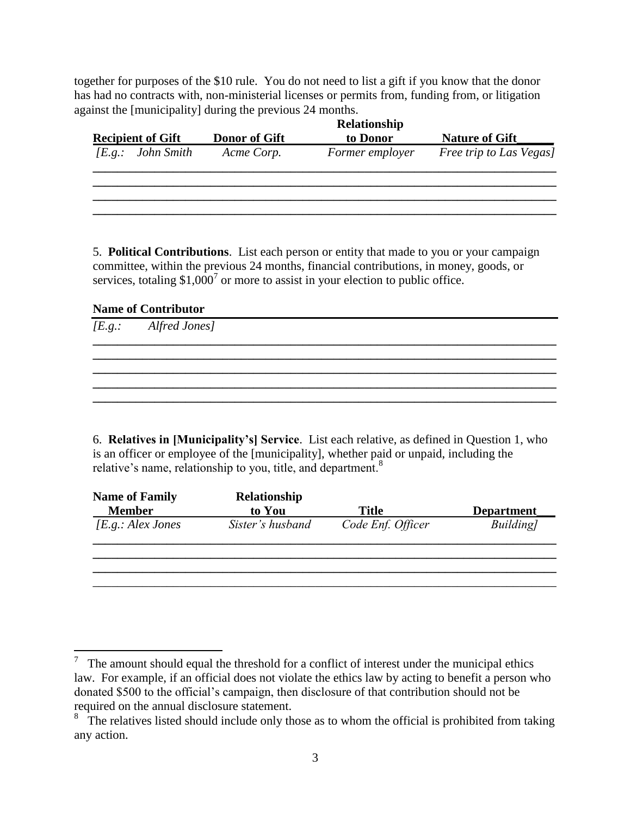together for purposes of the \$10 rule. You do not need to list a gift if you know that the donor has had no contracts with, non-ministerial licenses or permits from, funding from, or litigation against the [municipality] during the previous 24 months.

| <b>Recipient of Gift</b>    | <b>Donor of Gift</b> | to Donor        | <b>Nature of Gift</b>   |
|-----------------------------|----------------------|-----------------|-------------------------|
| [ <i>E.g.</i> : John Smith] | Acme Corp.           | Former employer | Free trip to Las Vegas] |
|                             |                      |                 |                         |
|                             |                      |                 |                         |
|                             |                      |                 |                         |

5. **Political Contributions**. List each person or entity that made to you or your campaign committee, within the previous 24 months, financial contributions, in money, goods, or services, totaling \$1,000<sup>7</sup> or more to assist in your election to public office.

## **Name of Contributor**

| [E.g.: Alfred Jones] |  |  |
|----------------------|--|--|
|                      |  |  |
|                      |  |  |
|                      |  |  |
|                      |  |  |

6. **Relatives in [Municipality's] Service**. List each relative, as defined in Question 1, who is an officer or employee of the [municipality], whether paid or unpaid, including the relative's name, relationship to you, title, and department. $8$ 

| <b>Name of Family</b><br><b>Member</b> | Relationship<br>to You | Title             | <b>Department</b> |
|----------------------------------------|------------------------|-------------------|-------------------|
| [E.g.: Alex Jones                      | Sister's husband       | Code Enf. Officer | Building]         |
|                                        |                        |                   |                   |
|                                        |                        |                   |                   |

 $\overline{a}$ 7 The amount should equal the threshold for a conflict of interest under the municipal ethics law. For example, if an official does not violate the ethics law by acting to benefit a person who donated \$500 to the official's campaign, then disclosure of that contribution should not be required on the annual disclosure statement.

<sup>&</sup>lt;sup>8</sup> The relatives listed should include only those as to whom the official is prohibited from taking any action.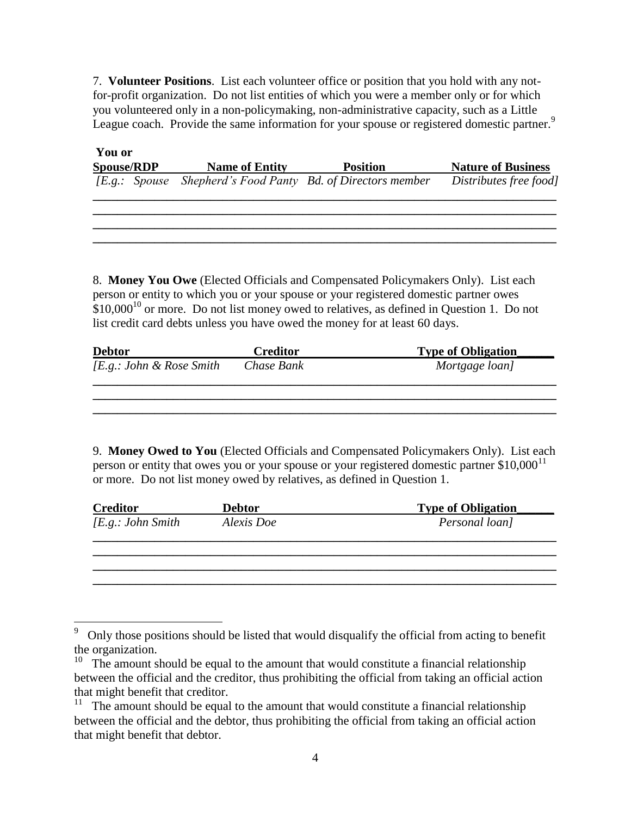7. **Volunteer Positions**. List each volunteer office or position that you hold with any notfor-profit organization. Do not list entities of which you were a member only or for which you volunteered only in a non-policymaking, non-administrative capacity, such as a Little League coach. Provide the same information for your spouse or registered domestic partner.<sup>9</sup>

| You or     |            |
|------------|------------|
| Snouse/RDP | Name of Er |

 $\overline{a}$ 

| <b>Spouse/RDP</b> | <b>Name of Entity</b> | <b>Position</b>                                             | <b>Nature of Business</b> |
|-------------------|-----------------------|-------------------------------------------------------------|---------------------------|
|                   |                       | [E.g.: Spouse Shepherd's Food Panty Bd. of Directors member | Distributes free food]    |

**\_\_\_\_\_\_\_\_\_\_\_\_\_\_\_\_\_\_\_\_\_\_\_\_\_\_\_\_\_\_\_\_\_\_\_\_\_\_\_\_\_\_\_\_\_\_\_\_\_\_\_\_\_\_\_\_\_\_\_\_\_\_\_\_\_\_\_\_\_\_\_\_\_\_\_ \_\_\_\_\_\_\_\_\_\_\_\_\_\_\_\_\_\_\_\_\_\_\_\_\_\_\_\_\_\_\_\_\_\_\_\_\_\_\_\_\_\_\_\_\_\_\_\_\_\_\_\_\_\_\_\_\_\_\_\_\_\_\_\_\_\_\_\_\_\_\_\_\_\_\_ \_\_\_\_\_\_\_\_\_\_\_\_\_\_\_\_\_\_\_\_\_\_\_\_\_\_\_\_\_\_\_\_\_\_\_\_\_\_\_\_\_\_\_\_\_\_\_\_\_\_\_\_\_\_\_\_\_\_\_\_\_\_\_\_\_\_\_\_\_\_\_\_\_\_\_**

8. **Money You Owe** (Elected Officials and Compensated Policymakers Only). List each person or entity to which you or your spouse or your registered domestic partner owes  $$10,000^{10}$  or more. Do not list money owed to relatives, as defined in Question 1. Do not list credit card debts unless you have owed the money for at least 60 days.

| <b>Debtor</b>                      | <b>Creditor</b> | <b>Type of Obligation</b> |
|------------------------------------|-----------------|---------------------------|
| [ <i>E.g.</i> : John & Rose Smith] | Chase Bank      | Mortgage loan]            |
|                                    |                 |                           |
|                                    |                 |                           |

9. **Money Owed to You** (Elected Officials and Compensated Policymakers Only). List each person or entity that owes you or your spouse or your registered domestic partner  $$10,000<sup>11</sup>$ or more. Do not list money owed by relatives, as defined in Question 1.

| <b>Creditor</b>   | <b>Debtor</b> | <b>Type of Obligation</b> |
|-------------------|---------------|---------------------------|
| [E.g.: John Smith | Alexis Doe    | Personal loan]            |
|                   |               |                           |
|                   |               |                           |
|                   |               |                           |
|                   |               |                           |

<sup>9</sup> Only those positions should be listed that would disqualify the official from acting to benefit the organization.

 $10$  The amount should be equal to the amount that would constitute a financial relationship between the official and the creditor, thus prohibiting the official from taking an official action that might benefit that creditor.

<sup>&</sup>lt;sup>11</sup> The amount should be equal to the amount that would constitute a financial relationship between the official and the debtor, thus prohibiting the official from taking an official action that might benefit that debtor.